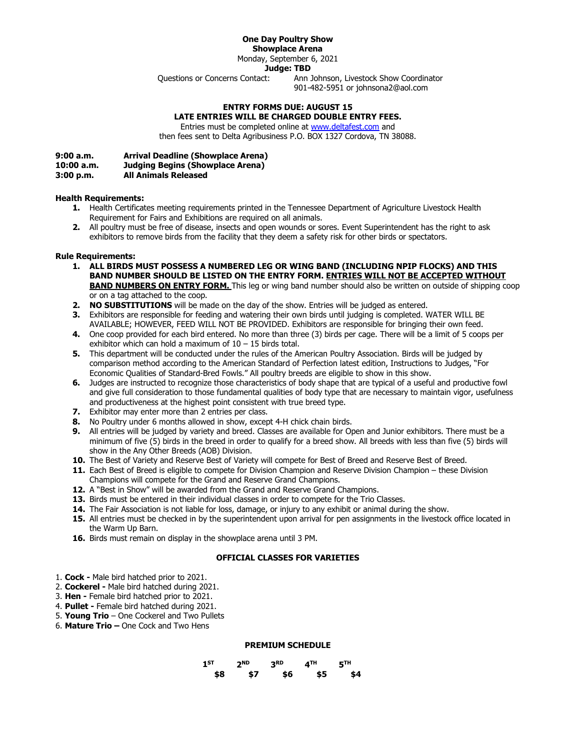### **One Day Poultry Show**

**Showplace Arena** Monday, September 6, 2021

**Judge: TBD**<br>. Questions or Concerns Contact: Ann

Ann Johnson, Livestock Show Coordinator 901-482-5951 or johnsona2@aol.com

# **ENTRY FORMS DUE: AUGUST 15 LATE ENTRIES WILL BE CHARGED DOUBLE ENTRY FEES.**

Entries must be completed online at [www.deltafest.com](http://www.deltafest.com/) and then fees sent to Delta Agribusiness P.O. BOX 1327 Cordova, TN 38088.

# **9:00 a.m. Arrival Deadline (Showplace Arena) 10:00 a.m. Judging Begins (Showplace Arena)**

**3:00 p.m. All Animals Released**

## **Health Requirements:**

- **1.** Health Certificates meeting requirements printed in the Tennessee Department of Agriculture Livestock Health Requirement for Fairs and Exhibitions are required on all animals.
- **2.** All poultry must be free of disease, insects and open wounds or sores. Event Superintendent has the right to ask exhibitors to remove birds from the facility that they deem a safety risk for other birds or spectators.

#### **Rule Requirements:**

- **1. ALL BIRDS MUST POSSESS A NUMBERED LEG OR WING BAND (INCLUDING NPIP FLOCKS) AND THIS BAND NUMBER SHOULD BE LISTED ON THE ENTRY FORM. ENTRIES WILL NOT BE ACCEPTED WITHOUT BAND NUMBERS ON ENTRY FORM.** This leg or wing band number should also be written on outside of shipping coop or on a tag attached to the coop.
- **2. NO SUBSTITUTIONS** will be made on the day of the show. Entries will be judged as entered.
- **3.** Exhibitors are responsible for feeding and watering their own birds until judging is completed. WATER WILL BE AVAILABLE; HOWEVER, FEED WILL NOT BE PROVIDED. Exhibitors are responsible for bringing their own feed.
- **4.** One coop provided for each bird entered. No more than three (3) birds per cage. There will be a limit of 5 coops per exhibitor which can hold a maximum of  $10 - 15$  birds total.
- **5.** This department will be conducted under the rules of the American Poultry Association. Birds will be judged by comparison method according to the American Standard of Perfection latest edition, Instructions to Judges, "For Economic Qualities of Standard-Bred Fowls." All poultry breeds are eligible to show in this show.
- **6.** Judges are instructed to recognize those characteristics of body shape that are typical of a useful and productive fowl and give full consideration to those fundamental qualities of body type that are necessary to maintain vigor, usefulness and productiveness at the highest point consistent with true breed type.
- **7.** Exhibitor may enter more than 2 entries per class.
- **8.** No Poultry under 6 months allowed in show, except 4-H chick chain birds.
- **9.** All entries will be judged by variety and breed. Classes are available for Open and Junior exhibitors. There must be a minimum of five (5) birds in the breed in order to qualify for a breed show. All breeds with less than five (5) birds will show in the Any Other Breeds (AOB) Division.
- **10.** The Best of Variety and Reserve Best of Variety will compete for Best of Breed and Reserve Best of Breed.
- **11.** Each Best of Breed is eligible to compete for Division Champion and Reserve Division Champion these Division Champions will compete for the Grand and Reserve Grand Champions.
- **12.** A "Best in Show" will be awarded from the Grand and Reserve Grand Champions.
- **13.** Birds must be entered in their individual classes in order to compete for the Trio Classes.
- **14.** The Fair Association is not liable for loss, damage, or injury to any exhibit or animal during the show.
- **15.** All entries must be checked in by the superintendent upon arrival for pen assignments in the livestock office located in the Warm Up Barn.
- **16.** Birds must remain on display in the showplace arena until 3 PM.

#### **OFFICIAL CLASSES FOR VARIETIES**

- 1. **Cock -** Male bird hatched prior to 2021.
- 2. **Cockerel -** Male bird hatched during 2021.
- 3. **Hen -** Female bird hatched prior to 2021.
- 4. **Pullet -** Female bird hatched during 2021.
- 5. **Young Trio** One Cockerel and Two Pullets
- 6. **Mature Trio –** One Cock and Two Hens

#### **PREMIUM SCHEDULE**

| $1^{ST}$ | 2 <sup>ND</sup> | 3 <sup>RD</sup> | 4 <sup>TH</sup> | 5 <sup>TH</sup> |
|----------|-----------------|-----------------|-----------------|-----------------|
| \$8      | \$7             | \$6             | \$5             | \$4             |